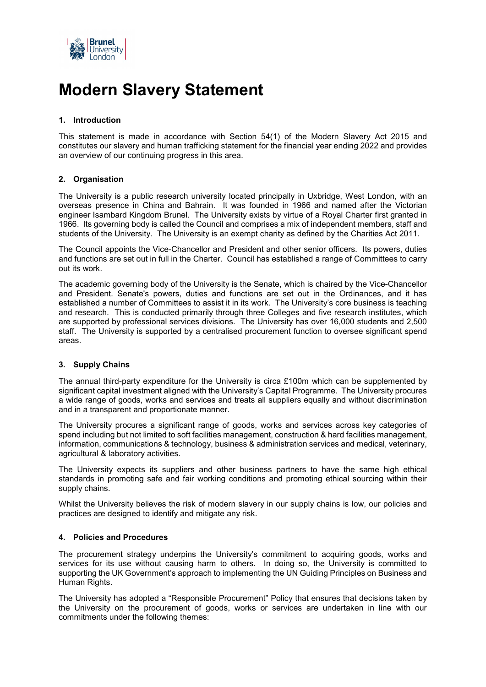

# **Modern Slavery Statement**

# **1. Introduction**

This statement is made in accordance with Section 54(1) of the Modern Slavery Act 2015 and constitutes our slavery and human trafficking statement for the financial year ending 2022 and provides an overview of our continuing progress in this area.

# **2. Organisation**

The University is a public research university located principally in Uxbridge, West London, with an overseas presence in China and Bahrain. It was founded in 1966 and named after the Victorian engineer Isambard Kingdom Brunel. The University exists by virtue of a [Royal Charter](https://www.brunel.ac.uk/about/information/pdf/charter.pdf) first granted in 1966. Its governing body is called the Council and comprises a mix of independent members, staff and students of the University. The University is an exempt charity as defined by the Charities Act 2011.

The Council appoints the Vice-Chancellor and President [and other senior officers.](https://www.brunel.ac.uk/about/people) Its powers, duties and functions are set out in full in the [Charter.](https://www.brunel.ac.uk/about/information/pdf/charter.pdf) Council has established a range of [Committees](https://www.brunel.ac.uk/about/documents/pdf/co05.pdf) to carry out its work.

The academic governing body of the University is the Senate, which is chaired by the Vice-Chancellor and President. Senate's powers, duties and functions are set out in the [Ordinances,](https://www.brunel.ac.uk/about/administration/governance-and-university-committees/council/council-ordinances) and it has established a number of Committees to assist it in its work. The University's core business is teaching and research. This is conducted primarily through three Colleges and five research institutes, which are supported by professional services divisions. The University has over 16,000 students and 2,500 staff. The University is supported by a centralised procurement function to oversee significant spend areas.

#### **3. Supply Chains**

The annual third-party expenditure for the University is circa £100m which can be supplemented by significant capital investment aligned with the University's Capital Programme. The University procures a wide range of goods, works and services and treats all suppliers equally and without discrimination and in a transparent and proportionate manner.

The University procures a significant range of goods, works and services across key categories of spend including but not limited to soft facilities management, construction & hard facilities management, information, communications & technology, business & administration services and medical, veterinary, agricultural & laboratory activities.

The University expects its suppliers and other business partners to have the same high ethical standards in promoting safe and fair working conditions and promoting ethical sourcing within their supply chains.

Whilst the University believes the risk of modern slavery in our supply chains is low, our policies and practices are designed to identify and mitigate any risk.

#### **4. Policies and Procedures**

The procurement strategy underpins the University's commitment to acquiring goods, works and services for its use without causing harm to others. In doing so, the University is committed to supporting the UK Government's approach to implementing the UN Guiding Principles on Business and Human Rights.

The University has adopted a "Responsible Procurement" Policy that ensures that decisions taken by the University on the procurement of goods, works or services are undertaken in line with our commitments under the following themes: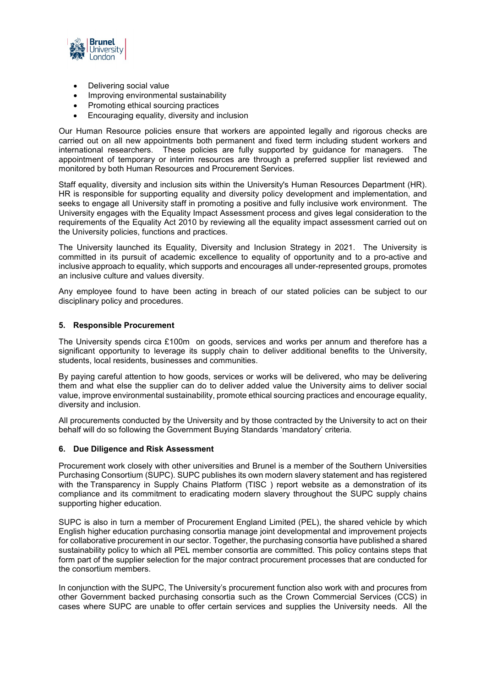

- Delivering social value
- Improving environmental sustainability
- Promoting ethical sourcing practices
- Encouraging equality, diversity and inclusion

Our Human Resource policies ensure that workers are appointed legally and rigorous checks are carried out on all new appointments both permanent and fixed term including student workers and international researchers. These policies are fully supported by guidance for managers. The appointment of temporary or interim resources are through a preferred supplier list reviewed and monitored by both Human Resources and Procurement Services.

Staff equality, diversity and inclusion sits within the University's Human Resources Department (HR). HR is responsible for supporting equality and diversity policy development and implementation, and seeks to engage all University staff in promoting a positive and fully inclusive work environment. The University engages with the Equality Impact Assessment process and gives legal consideration to the requirements of the Equality Act 2010 by reviewing all the equality impact assessment carried out on the University policies, functions and practices.

The University launched its Equality, Diversity and Inclusion Strategy in 2021. The University is committed in its pursuit of academic excellence to equality of opportunity and to a pro-active and inclusive approach to equality, which supports and encourages all under-represented groups, promotes an inclusive culture and values diversity.

Any employee found to have been acting in breach of our stated policies can be subject to our disciplinary policy and procedures.

# **5. Responsible Procurement**

The University spends circa £100m on goods, services and works per annum and therefore has a significant opportunity to leverage its supply chain to deliver additional benefits to the University, students, local residents, businesses and communities.

By paying careful attention to how goods, services or works will be delivered, who may be delivering them and what else the supplier can do to deliver added value the University aims to deliver social value, improve environmental sustainability, promote ethical sourcing practices and encourage equality, diversity and inclusion.

All procurements conducted by the University and by those contracted by the University to act on their behalf will do so following the Government Buying Standards 'mandatory' criteria.

#### **6. Due Diligence and Risk Assessment**

Procurement work closely with other universities and Brunel is a member of the Southern Universities Purchasing Consortium (SUPC). SUPC publishes its own modern slavery statement and has registered with the Transparency in Supply Chains Platform (TISC) report website as a demonstration of its compliance and its commitment to eradicating modern slavery throughout the SUPC supply chains supporting higher education.

SUPC is also in turn a member of Procurement England Limited (PEL), the shared vehicle by which English higher education purchasing consortia manage joint developmental and improvement projects for collaborative procurement in our sector. Together, the purchasing consortia have published a shared sustainability policy to which all PEL member consortia are committed. This policy contains steps that form part of the supplier selection for the major contract procurement processes that are conducted for the consortium members.

In conjunction with the SUPC, The University's procurement function also work with and procures from other Government backed purchasing consortia such as the Crown Commercial Services (CCS) in cases where SUPC are unable to offer certain services and supplies the University needs. All the